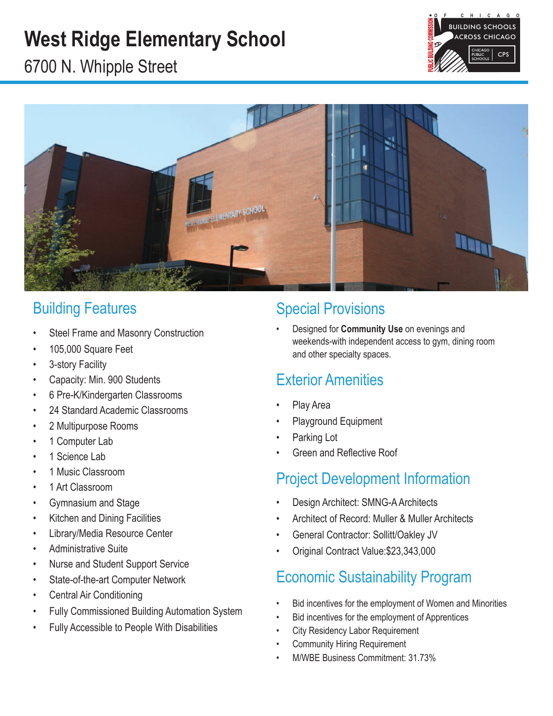# **West Ridge Elementary School**

## 6700 N. Whipple Street





## Building Features

- Steel Frame and Masonry Construction
- 105,000 Square Feet
- 3-story Facility
- Capacity: Min. 900 Students
- 6 Pre-K/Kindergarten Classrooms
- 24 Standard Academic Classrooms
- 2 Multipurpose Rooms
- 1 Computer Lab
- 1 Science Lab
- 1 Music Classroom
- 1 Art Classroom
- Gymnasium and Stage
- **Kitchen and Dining Facilities**
- Library/Media Resource Center
- Administrative Suite
- Nurse and Student Support Service
- State-of-the-art Computer Network
- Central Air Conditioning
- Fully Commissioned Building Automation System
- Fully Accessible to People With Disabilities

## Special Provisions

• Designed for **Community Use** on evenings and weekends-with independent access to gym, dining room and other specialty spaces.

## Exterior Amenities

- Play Area
- Playground Equipment
- Parking Lot
- Green and Reflective Roof

## Project Development Information

- Design Architect: SMNG-A Architects
- Architect of Record: Muller & Muller Architects
- General Contractor: Sollitt/Oakley JV
- Original Contract Value:\$23,343,000

## Economic Sustainability Program

- Bid incentives for the employment of Women and Minorities
- Bid incentives for the employment of Apprentices
- City Residency Labor Requirement
- Community Hiring Requirement
- M/WBE Business Commitment: 31.73%